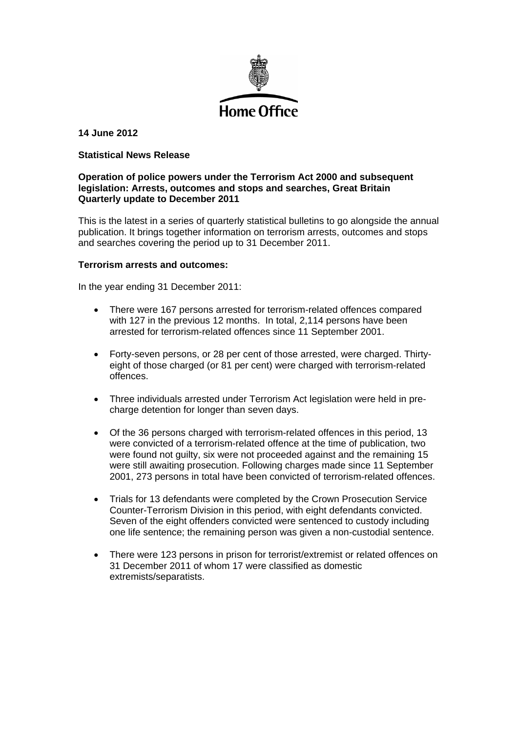

# **14 June 2012**

## **Statistical News Release**

## **Operation of police powers under the Terrorism Act 2000 and subsequent legislation: Arrests, outcomes and stops and searches, Great Britain Quarterly update to December 2011**

This is the latest in a series of quarterly statistical bulletins to go alongside the annual publication. It brings together information on terrorism arrests, outcomes and stops and searches covering the period up to 31 December 2011.

#### **Terrorism arrests and outcomes:**

In the year ending 31 December 2011:

- There were 167 persons arrested for terrorism-related offences compared with 127 in the previous 12 months. In total, 2,114 persons have been arrested for terrorism-related offences since 11 September 2001.
- Forty-seven persons, or 28 per cent of those arrested, were charged. Thirtyeight of those charged (or 81 per cent) were charged with terrorism-related offences.
- Three individuals arrested under Terrorism Act legislation were held in precharge detention for longer than seven days.
- Of the 36 persons charged with terrorism-related offences in this period, 13 were convicted of a terrorism-related offence at the time of publication, two were found not quilty, six were not proceeded against and the remaining 15 were still awaiting prosecution. Following charges made since 11 September 2001, 273 persons in total have been convicted of terrorism-related offences.
- Trials for 13 defendants were completed by the Crown Prosecution Service Counter-Terrorism Division in this period, with eight defendants convicted. Seven of the eight offenders convicted were sentenced to custody including one life sentence; the remaining person was given a non-custodial sentence.
- There were 123 persons in prison for terrorist/extremist or related offences on 31 December 2011 of whom 17 were classified as domestic extremists/separatists.